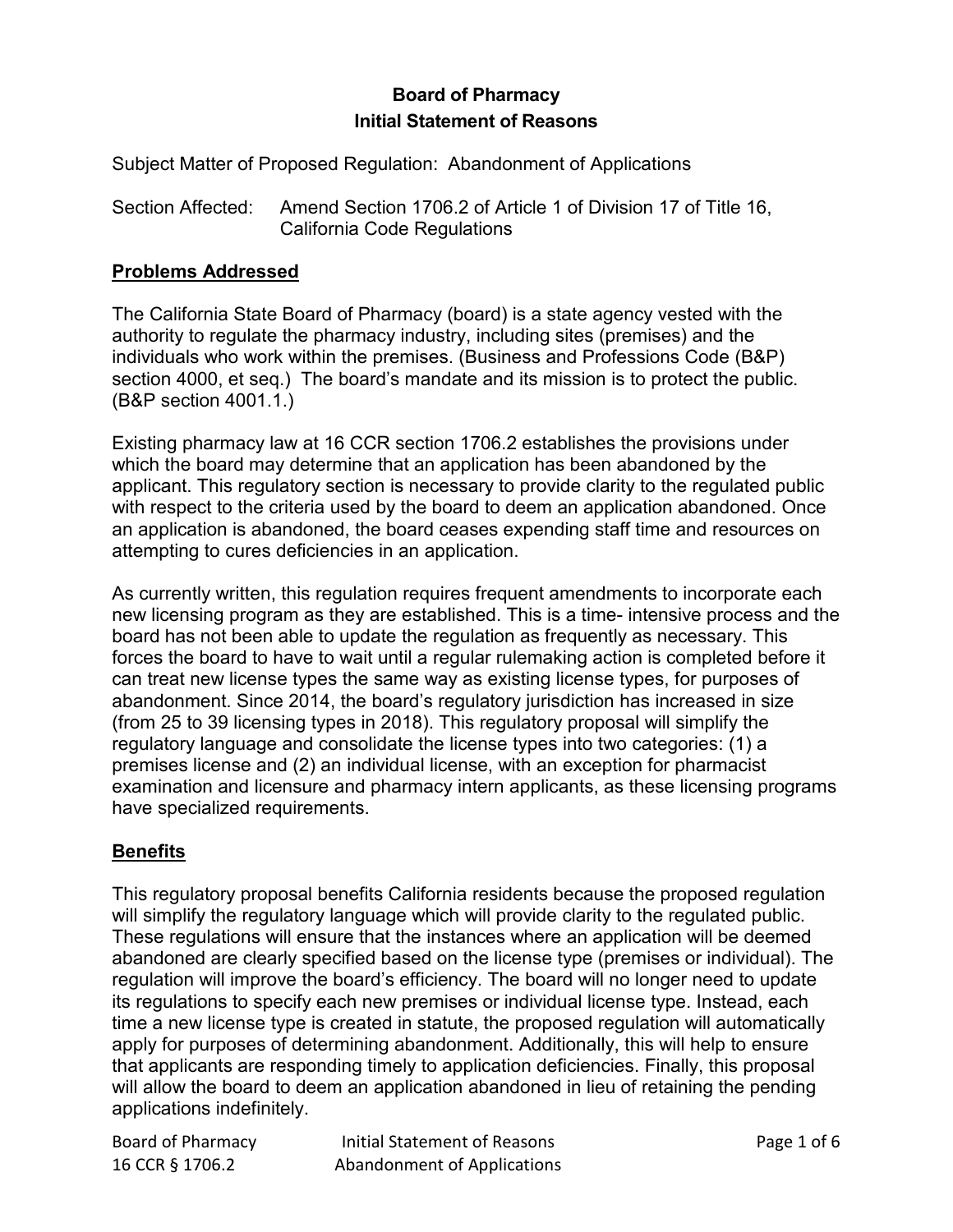# **Board of Pharmacy Initial Statement of Reasons**

Subject Matter of Proposed Regulation: Abandonment of Applications

Section Affected: Amend Section 1706.2 of Article 1 of Division 17 of Title 16, California Code Regulations

### **Problems Addressed**

 section 4000, et seq.) The board's mandate and its mission is to protect the public. (B&P section 4001.1.) The California State Board of Pharmacy (board) is a state agency vested with the authority to regulate the pharmacy industry, including sites (premises) and the individuals who work within the premises. (Business and Professions Code (B&P)

Existing pharmacy law at 16 CCR section 1706.2 establishes the provisions under which the board may determine that an application has been abandoned by the applicant. This regulatory section is necessary to provide clarity to the regulated public with respect to the criteria used by the board to deem an application abandoned. Once an application is abandoned, the board ceases expending staff time and resources on attempting to cures deficiencies in an application.

 can treat new license types the same way as existing license types, for purposes of abandonment. Since 2014, the board's regulatory jurisdiction has increased in size As currently written, this regulation requires frequent amendments to incorporate each new licensing program as they are established. This is a time- intensive process and the board has not been able to update the regulation as frequently as necessary. This forces the board to have to wait until a regular rulemaking action is completed before it (from 25 to 39 licensing types in 2018). This regulatory proposal will simplify the regulatory language and consolidate the license types into two categories: (1) a premises license and (2) an individual license, with an exception for pharmacist examination and licensure and pharmacy intern applicants, as these licensing programs have specialized requirements.

## **Benefits**

 will simplify the regulatory language which will provide clarity to the regulated public. These regulations will ensure that the instances where an application will be deemed apply for purposes of determining abandonment. Additionally, this will help to ensure that applicants are responding timely to application deficiencies. Finally, this proposal This regulatory proposal benefits California residents because the proposed regulation abandoned are clearly specified based on the license type (premises or individual). The regulation will improve the board's efficiency. The board will no longer need to update its regulations to specify each new premises or individual license type. Instead, each time a new license type is created in statute, the proposed regulation will automatically will allow the board to deem an application abandoned in lieu of retaining the pending applications indefinitely.

| Board of Pharmacy |
|-------------------|
| 16 CCR § 1706.2   |

Initial Statement of Reasons<br>
Abandonment of Applications<br>
Page 1 of 6 Initial Statement of Reasons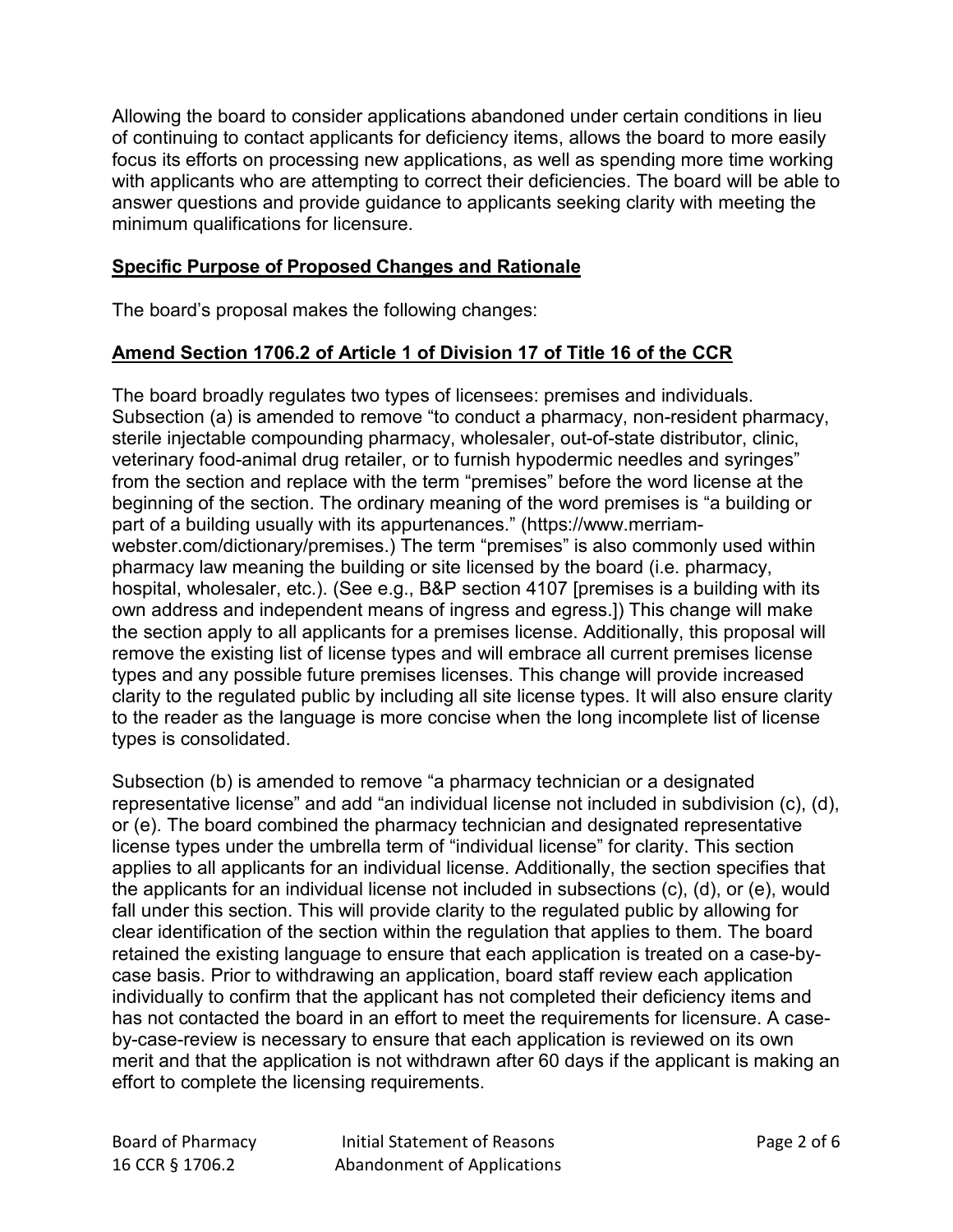Allowing the board to consider applications abandoned under certain conditions in lieu of continuing to contact applicants for deficiency items, allows the board to more easily focus its efforts on processing new applications, as well as spending more time working with applicants who are attempting to correct their deficiencies. The board will be able to answer questions and provide guidance to applicants seeking clarity with meeting the minimum qualifications for licensure.

### **Specific Purpose of Proposed Changes and Rationale**

The board's proposal makes the following changes:

# **Amend Section 1706.2 of Article 1 of Division 17 of Title 16 of the CCR**

 from the section and replace with the term "premises" before the word license at the part of a building usually with its [appurtenances.](https://www.merriam-webster.com/dictionary/appurtenance)" [\(https://www.merriam-](https://www.merriam-webster.com/dictionary/premises) own address and independent means of ingress and egress.]) This change will make the section apply to all applicants for a premises license. Additionally, this proposal will to the reader as the language is more concise when the long incomplete list of license The board broadly regulates two types of licensees: premises and individuals. Subsection (a) is amended to remove "to conduct a pharmacy, non-resident pharmacy, sterile injectable compounding pharmacy, wholesaler, out-of-state distributor, clinic, veterinary food-animal drug retailer, or to furnish hypodermic needles and syringes" beginning of the section. The ordinary meaning of the word premises is "a building or [webster.com/dictionary/premises.](https://www.merriam-webster.com/dictionary/premises)) The term "premises" is also commonly used within pharmacy law meaning the building or site licensed by the board (i.e. pharmacy, hospital, wholesaler, etc.). (See e.g., B&P section 4107 [premises is a building with its remove the existing list of license types and will embrace all current premises license types and any possible future premises licenses. This change will provide increased clarity to the regulated public by including all site license types. It will also ensure clarity types is consolidated.

 applies to all applicants for an individual license. Additionally, the section specifies that individually to confirm that the applicant has not completed their deficiency items and merit and that the application is not withdrawn after 60 days if the applicant is making an Subsection (b) is amended to remove "a pharmacy technician or a designated representative license" and add "an individual license not included in subdivision (c), (d), or (e). The board combined the pharmacy technician and designated representative license types under the umbrella term of "individual license" for clarity. This section the applicants for an individual license not included in subsections (c), (d), or (e), would fall under this section. This will provide clarity to the regulated public by allowing for clear identification of the section within the regulation that applies to them. The board retained the existing language to ensure that each application is treated on a case-bycase basis. Prior to withdrawing an application, board staff review each application has not contacted the board in an effort to meet the requirements for licensure. A caseby-case-review is necessary to ensure that each application is reviewed on its own effort to complete the licensing requirements.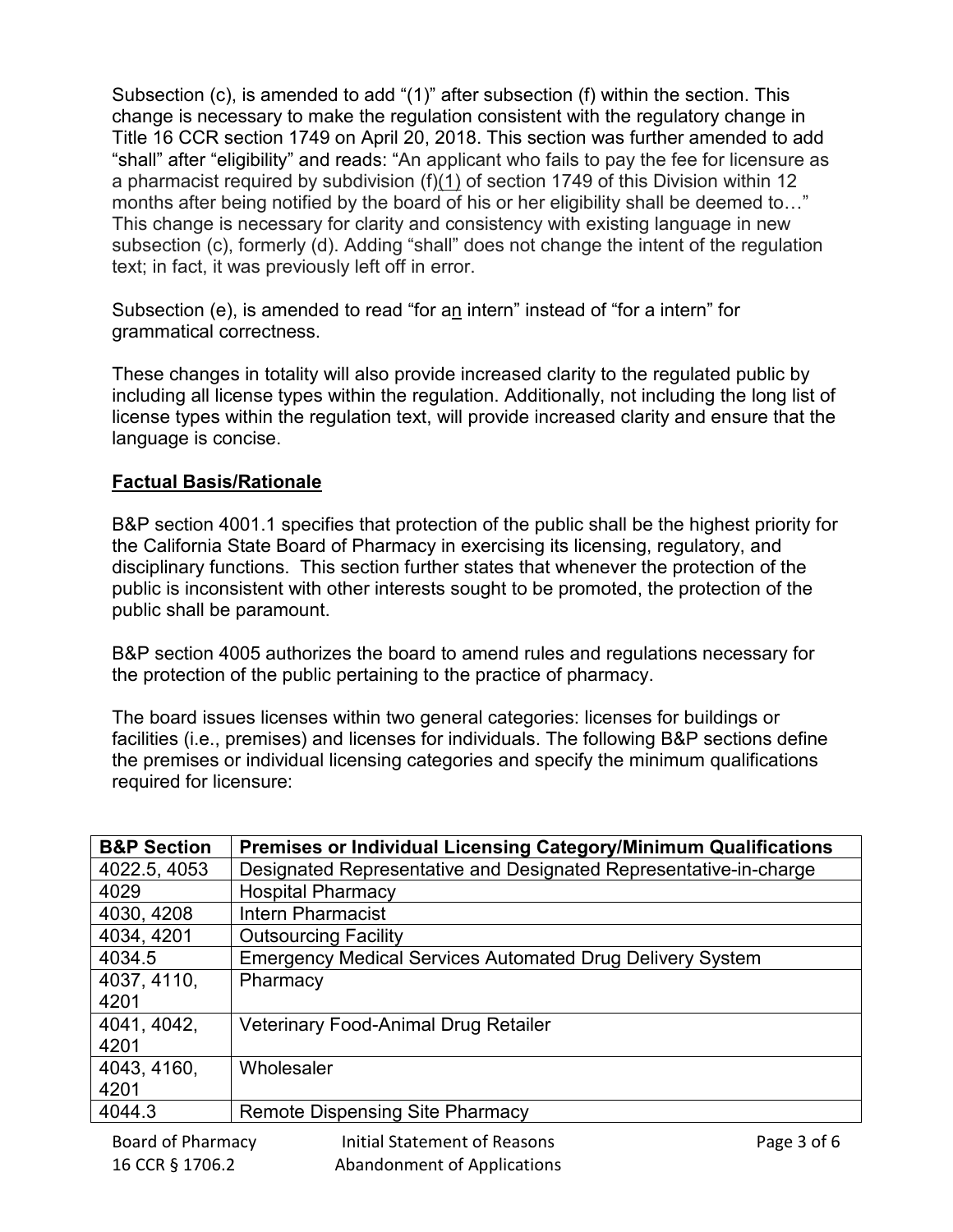months after being notified by the board of his or her eligibility shall be deemed to…" Subsection (c), is amended to add "(1)" after subsection (f) within the section. This change is necessary to make the regulation consistent with the regulatory change in Title 16 CCR section 1749 on April 20, 2018. This section was further amended to add "shall" after "eligibility" and reads: "An applicant who fails to pay the fee for licensure as a pharmacist required by subdivision (f)(1) of section 1749 of this Division within 12 This change is necessary for clarity and consistency with existing language in new subsection (c), formerly (d). Adding "shall" does not change the intent of the regulation text; in fact, it was previously left off in error.

Subsection (e), is amended to read "for a<u>n</u> intern" instead of "for a intern" for grammatical correctness.

These changes in totality will also provide increased clarity to the regulated public by including all license types within the regulation. Additionally, not including the long list of license types within the regulation text, will provide increased clarity and ensure that the language is concise.

# **Factual Basis/Rationale**

 B&P section 4001.1 specifies that protection of the public shall be the highest priority for disciplinary functions. This section further states that whenever the protection of the public shall be paramount. the California State Board of Pharmacy in exercising its licensing, regulatory, and public is inconsistent with other interests sought to be promoted, the protection of the

B&P section 4005 authorizes the board to amend rules and regulations necessary for the protection of the public pertaining to the practice of pharmacy.

The board issues licenses within two general categories: licenses for buildings or facilities (i.e., premises) and licenses for individuals. The following B&P sections define the premises or individual licensing categories and specify the minimum qualifications required for licensure:

| <b>B&amp;P Section</b> | <b>Premises or Individual Licensing Category/Minimum Qualifications</b> |
|------------------------|-------------------------------------------------------------------------|
| 4022.5, 4053           | Designated Representative and Designated Representative-in-charge       |
| 4029                   | <b>Hospital Pharmacy</b>                                                |
| 4030, 4208             | Intern Pharmacist                                                       |
| 4034, 4201             | <b>Outsourcing Facility</b>                                             |
| 4034.5                 | <b>Emergency Medical Services Automated Drug Delivery System</b>        |
| 4037, 4110,            | Pharmacy                                                                |
| 4201                   |                                                                         |
| 4041, 4042,            | Veterinary Food-Animal Drug Retailer                                    |
| 4201                   |                                                                         |
| 4043, 4160,            | Wholesaler                                                              |
| 4201                   |                                                                         |
| 4044.3                 | <b>Remote Dispensing Site Pharmacy</b>                                  |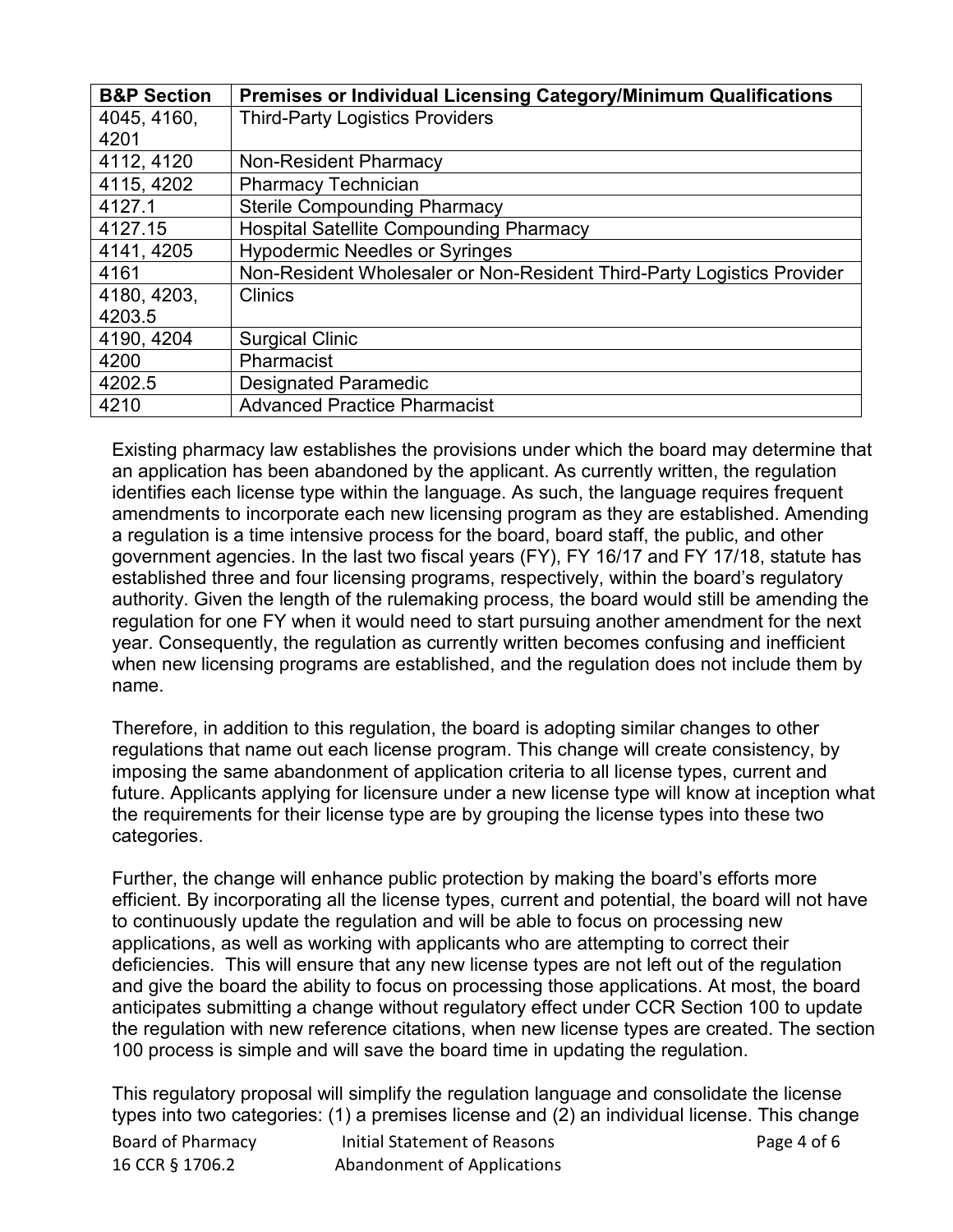| <b>B&amp;P Section</b> | <b>Premises or Individual Licensing Category/Minimum Qualifications</b> |
|------------------------|-------------------------------------------------------------------------|
| 4045, 4160,            | <b>Third-Party Logistics Providers</b>                                  |
| 4201                   |                                                                         |
| 4112, 4120             | <b>Non-Resident Pharmacy</b>                                            |
| 4115, 4202             | <b>Pharmacy Technician</b>                                              |
| 4127.1                 | <b>Sterile Compounding Pharmacy</b>                                     |
| 4127.15                | <b>Hospital Satellite Compounding Pharmacy</b>                          |
| 4141, 4205             | <b>Hypodermic Needles or Syringes</b>                                   |
| 4161                   | Non-Resident Wholesaler or Non-Resident Third-Party Logistics Provider  |
| 4180, 4203,            | Clinics                                                                 |
| 4203.5                 |                                                                         |
| 4190, 4204             | <b>Surgical Clinic</b>                                                  |
| 4200                   | Pharmacist                                                              |
| 4202.5                 | <b>Designated Paramedic</b>                                             |
| 4210                   | <b>Advanced Practice Pharmacist</b>                                     |

 an application has been abandoned by the applicant. As currently written, the regulation when new licensing programs are established, and the regulation does not include them by name. Existing pharmacy law establishes the provisions under which the board may determine that identifies each license type within the language. As such, the language requires frequent amendments to incorporate each new licensing program as they are established. Amending a regulation is a time intensive process for the board, board staff, the public, and other government agencies. In the last two fiscal years (FY), FY 16/17 and FY 17/18, statute has established three and four licensing programs, respectively, within the board's regulatory authority. Given the length of the rulemaking process, the board would still be amending the regulation for one FY when it would need to start pursuing another amendment for the next year. Consequently, the regulation as currently written becomes confusing and inefficient

Therefore, in addition to this regulation, the board is adopting similar changes to other regulations that name out each license program. This change will create consistency, by imposing the same abandonment of application criteria to all license types, current and future. Applicants applying for licensure under a new license type will know at inception what the requirements for their license type are by grouping the license types into these two categories.

 deficiencies. This will ensure that any new license types are not left out of the regulation Further, the change will enhance public protection by making the board's efforts more efficient. By incorporating all the license types, current and potential, the board will not have to continuously update the regulation and will be able to focus on processing new applications, as well as working with applicants who are attempting to correct their and give the board the ability to focus on processing those applications. At most, the board anticipates submitting a change without regulatory effect under CCR Section 100 to update the regulation with new reference citations, when new license types are created. The section 100 process is simple and will save the board time in updating the regulation.

This regulatory proposal will simplify the regulation language and consolidate the license types into two categories: (1) a premises license and (2) an individual license. This change

| Board of Pharmacy | Initial Statement of Reasons | Page 4 of 6 |
|-------------------|------------------------------|-------------|
| 16 CCR § 1706.2   | Abandonment of Applications  |             |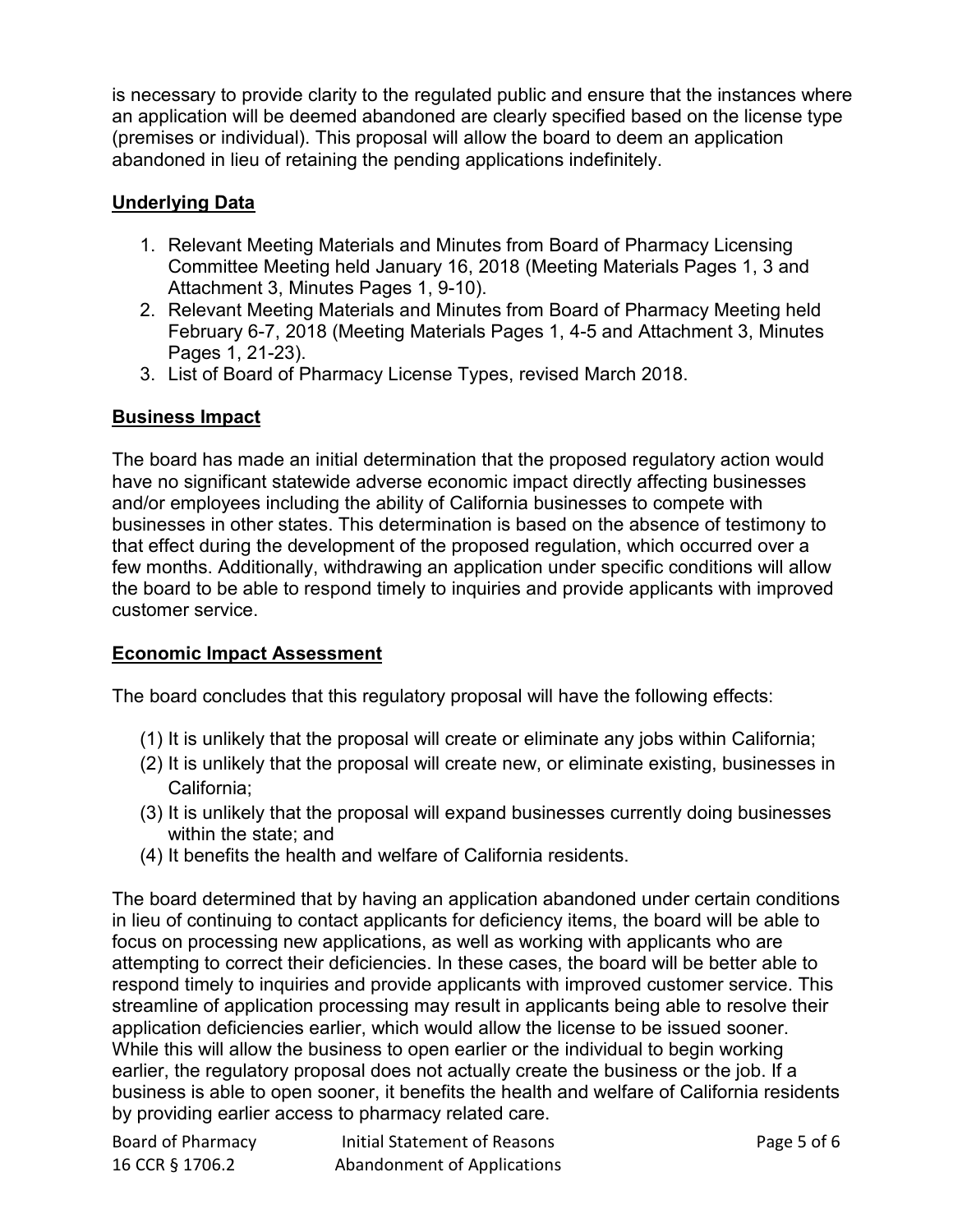is necessary to provide clarity to the regulated public and ensure that the instances where an application will be deemed abandoned are clearly specified based on the license type (premises or individual). This proposal will allow the board to deem an application abandoned in lieu of retaining the pending applications indefinitely.

## **Underlying Data**

- Committee Meeting held January 16, 2018 (Meeting Materials Pages 1, 3 and Attachment 3, Minutes Pages 1, 9-10). 1. Relevant Meeting Materials and Minutes from Board of Pharmacy Licensing
- February 6-7, 2018 (Meeting Materials Pages 1, 4-5 and Attachment 3, Minutes 2. Relevant Meeting Materials and Minutes from Board of Pharmacy Meeting held Pages 1, 21-23).
- 3. List of Board of Pharmacy License Types, revised March 2018.

# **Business Impact**

 businesses in other states. This determination is based on the absence of testimony to The board has made an initial determination that the proposed regulatory action would have no significant statewide adverse economic impact directly affecting businesses and/or employees including the ability of California businesses to compete with that effect during the development of the proposed regulation, which occurred over a few months. Additionally, withdrawing an application under specific conditions will allow the board to be able to respond timely to inquiries and provide applicants with improved customer service.

## **Economic Impact Assessment**

The board concludes that this regulatory proposal will have the following effects:

- (1) It is unlikely that the proposal will create or eliminate any jobs within California;
- (2) It is unlikely that the proposal will create new, or eliminate existing, businesses in California;
- (3) It is unlikely that the proposal will expand businesses currently doing businesses within the state; and
- (4) It benefits the health and welfare of California residents.

 in lieu of continuing to contact applicants for deficiency items, the board will be able to business is able to open sooner, it benefits the health and welfare of California residents The board determined that by having an application abandoned under certain conditions focus on processing new applications, as well as working with applicants who are attempting to correct their deficiencies. In these cases, the board will be better able to respond timely to inquiries and provide applicants with improved customer service. This streamline of application processing may result in applicants being able to resolve their application deficiencies earlier, which would allow the license to be issued sooner. While this will allow the business to open earlier or the individual to begin working earlier, the regulatory proposal does not actually create the business or the job. If a by providing earlier access to pharmacy related care.

| Board of Pharmacy | Initial Statement of Reasons | Page 5 of 6 |
|-------------------|------------------------------|-------------|
| 16 CCR § 1706.2   | Abandonment of Applications  |             |